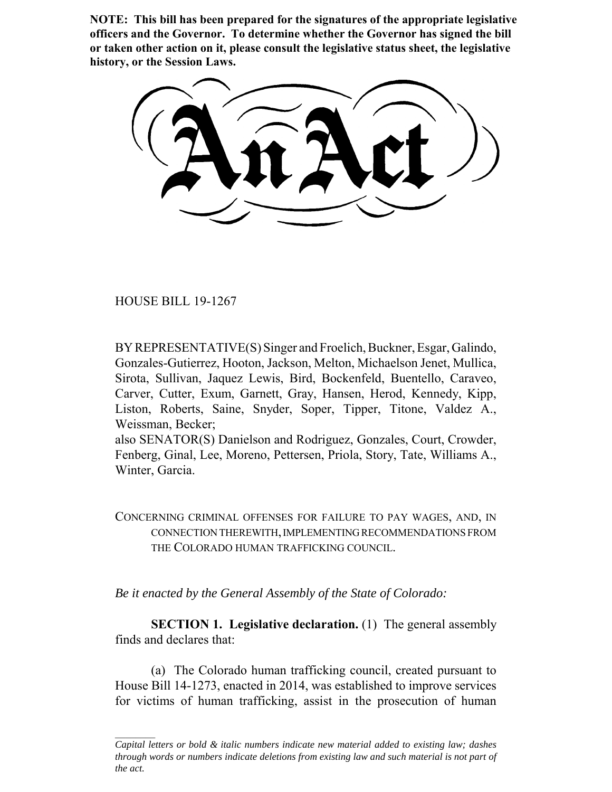**NOTE: This bill has been prepared for the signatures of the appropriate legislative officers and the Governor. To determine whether the Governor has signed the bill or taken other action on it, please consult the legislative status sheet, the legislative history, or the Session Laws.**

HOUSE BILL 19-1267

BY REPRESENTATIVE(S) Singer and Froelich, Buckner, Esgar, Galindo, Gonzales-Gutierrez, Hooton, Jackson, Melton, Michaelson Jenet, Mullica, Sirota, Sullivan, Jaquez Lewis, Bird, Bockenfeld, Buentello, Caraveo, Carver, Cutter, Exum, Garnett, Gray, Hansen, Herod, Kennedy, Kipp, Liston, Roberts, Saine, Snyder, Soper, Tipper, Titone, Valdez A., Weissman, Becker;

also SENATOR(S) Danielson and Rodriguez, Gonzales, Court, Crowder, Fenberg, Ginal, Lee, Moreno, Pettersen, Priola, Story, Tate, Williams A., Winter, Garcia.

CONCERNING CRIMINAL OFFENSES FOR FAILURE TO PAY WAGES, AND, IN CONNECTION THEREWITH, IMPLEMENTING RECOMMENDATIONS FROM THE COLORADO HUMAN TRAFFICKING COUNCIL.

*Be it enacted by the General Assembly of the State of Colorado:*

**SECTION 1. Legislative declaration.** (1) The general assembly finds and declares that:

(a) The Colorado human trafficking council, created pursuant to House Bill 14-1273, enacted in 2014, was established to improve services for victims of human trafficking, assist in the prosecution of human

*Capital letters or bold & italic numbers indicate new material added to existing law; dashes through words or numbers indicate deletions from existing law and such material is not part of the act.*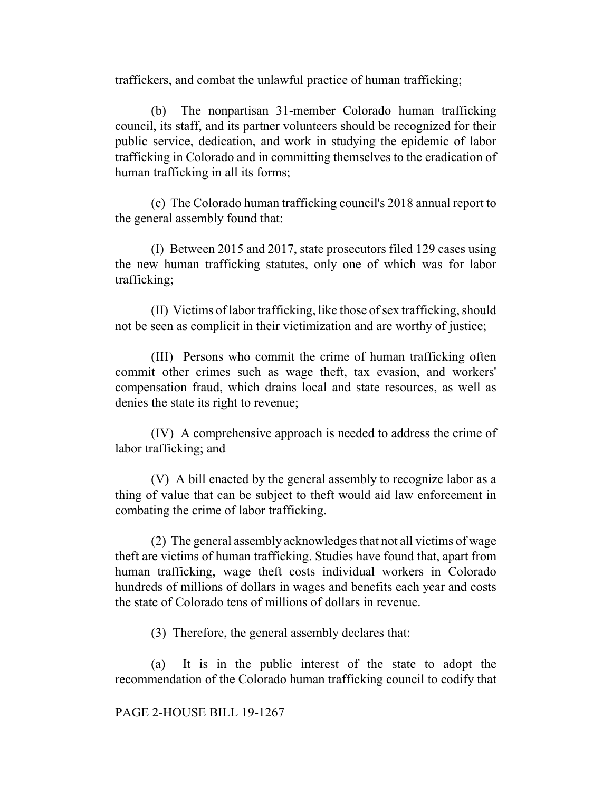traffickers, and combat the unlawful practice of human trafficking;

(b) The nonpartisan 31-member Colorado human trafficking council, its staff, and its partner volunteers should be recognized for their public service, dedication, and work in studying the epidemic of labor trafficking in Colorado and in committing themselves to the eradication of human trafficking in all its forms;

(c) The Colorado human trafficking council's 2018 annual report to the general assembly found that:

(I) Between 2015 and 2017, state prosecutors filed 129 cases using the new human trafficking statutes, only one of which was for labor trafficking;

(II) Victims of labor trafficking, like those of sex trafficking, should not be seen as complicit in their victimization and are worthy of justice;

(III) Persons who commit the crime of human trafficking often commit other crimes such as wage theft, tax evasion, and workers' compensation fraud, which drains local and state resources, as well as denies the state its right to revenue;

(IV) A comprehensive approach is needed to address the crime of labor trafficking; and

(V) A bill enacted by the general assembly to recognize labor as a thing of value that can be subject to theft would aid law enforcement in combating the crime of labor trafficking.

(2) The general assembly acknowledges that not all victims of wage theft are victims of human trafficking. Studies have found that, apart from human trafficking, wage theft costs individual workers in Colorado hundreds of millions of dollars in wages and benefits each year and costs the state of Colorado tens of millions of dollars in revenue.

(3) Therefore, the general assembly declares that:

(a) It is in the public interest of the state to adopt the recommendation of the Colorado human trafficking council to codify that

## PAGE 2-HOUSE BILL 19-1267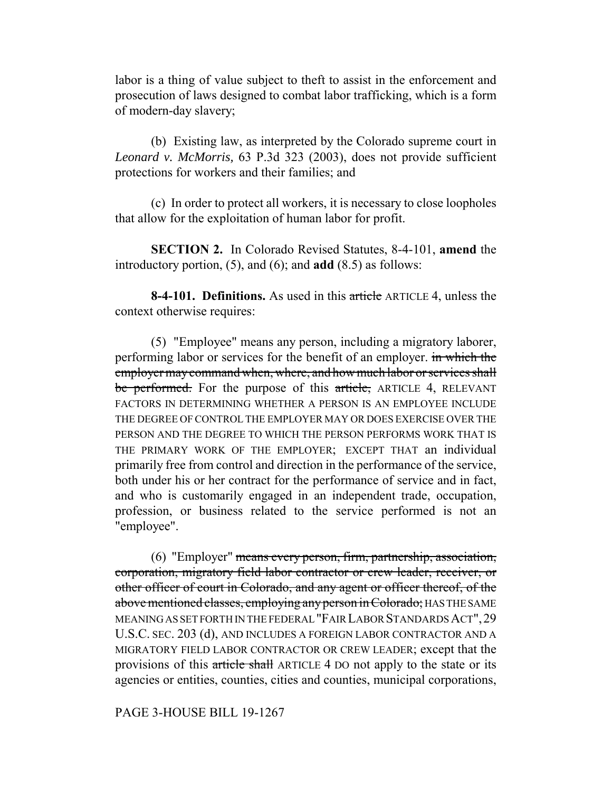labor is a thing of value subject to theft to assist in the enforcement and prosecution of laws designed to combat labor trafficking, which is a form of modern-day slavery;

(b) Existing law, as interpreted by the Colorado supreme court in *Leonard v. McMorris,* 63 P.3d 323 (2003), does not provide sufficient protections for workers and their families; and

(c) In order to protect all workers, it is necessary to close loopholes that allow for the exploitation of human labor for profit.

**SECTION 2.** In Colorado Revised Statutes, 8-4-101, **amend** the introductory portion, (5), and (6); and **add** (8.5) as follows:

**8-4-101. Definitions.** As used in this article ARTICLE 4, unless the context otherwise requires:

(5) "Employee" means any person, including a migratory laborer, performing labor or services for the benefit of an employer. in which the employer may command when, where, and how much labor or services shall be performed. For the purpose of this article, ARTICLE 4, RELEVANT FACTORS IN DETERMINING WHETHER A PERSON IS AN EMPLOYEE INCLUDE THE DEGREE OF CONTROL THE EMPLOYER MAY OR DOES EXERCISE OVER THE PERSON AND THE DEGREE TO WHICH THE PERSON PERFORMS WORK THAT IS THE PRIMARY WORK OF THE EMPLOYER; EXCEPT THAT an individual primarily free from control and direction in the performance of the service, both under his or her contract for the performance of service and in fact, and who is customarily engaged in an independent trade, occupation, profession, or business related to the service performed is not an "employee".

(6) "Employer" means every person, firm, partnership, association, corporation, migratory field labor contractor or crew leader, receiver, or other officer of court in Colorado, and any agent or officer thereof, of the above mentioned classes, employing any person in Colorado; HAS THE SAME MEANING AS SET FORTH IN THE FEDERAL "FAIR LABOR STANDARDS ACT",29 U.S.C. SEC. 203 (d), AND INCLUDES A FOREIGN LABOR CONTRACTOR AND A MIGRATORY FIELD LABOR CONTRACTOR OR CREW LEADER; except that the provisions of this article shall ARTICLE 4 DO not apply to the state or its agencies or entities, counties, cities and counties, municipal corporations,

PAGE 3-HOUSE BILL 19-1267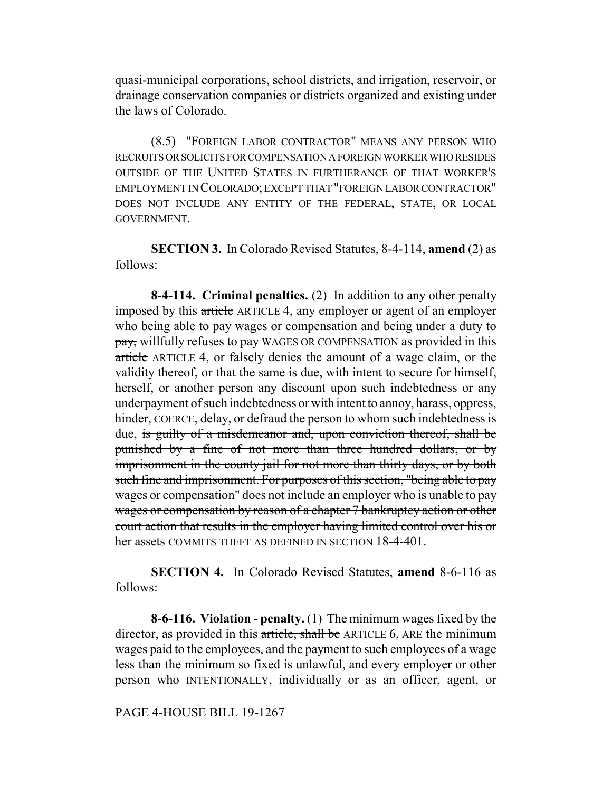quasi-municipal corporations, school districts, and irrigation, reservoir, or drainage conservation companies or districts organized and existing under the laws of Colorado.

(8.5) "FOREIGN LABOR CONTRACTOR" MEANS ANY PERSON WHO RECRUITS OR SOLICITS FOR COMPENSATION A FOREIGN WORKER WHO RESIDES OUTSIDE OF THE UNITED STATES IN FURTHERANCE OF THAT WORKER'S EMPLOYMENT IN COLORADO; EXCEPT THAT "FOREIGN LABOR CONTRACTOR" DOES NOT INCLUDE ANY ENTITY OF THE FEDERAL, STATE, OR LOCAL GOVERNMENT.

**SECTION 3.** In Colorado Revised Statutes, 8-4-114, **amend** (2) as follows:

**8-4-114. Criminal penalties.** (2) In addition to any other penalty imposed by this article ARTICLE 4, any employer or agent of an employer who being able to pay wages or compensation and being under a duty to pay, willfully refuses to pay WAGES OR COMPENSATION as provided in this article ARTICLE 4, or falsely denies the amount of a wage claim, or the validity thereof, or that the same is due, with intent to secure for himself, herself, or another person any discount upon such indebtedness or any underpayment of such indebtedness or with intent to annoy, harass, oppress, hinder, COERCE, delay, or defraud the person to whom such indebtedness is due, is guilty of a misdemeanor and, upon conviction thereof, shall be punished by a fine of not more than three hundred dollars, or by imprisonment in the county jail for not more than thirty days, or by both such fine and imprisonment. For purposes of this section, "being able to pay wages or compensation" does not include an employer who is unable to pay wages or compensation by reason of a chapter 7 bankruptcy action or other court action that results in the employer having limited control over his or her assets COMMITS THEFT AS DEFINED IN SECTION 18-4-401

**SECTION 4.** In Colorado Revised Statutes, **amend** 8-6-116 as follows:

**8-6-116. Violation - penalty.** (1) The minimum wages fixed by the director, as provided in this article, shall be ARTICLE 6, ARE the minimum wages paid to the employees, and the payment to such employees of a wage less than the minimum so fixed is unlawful, and every employer or other person who INTENTIONALLY, individually or as an officer, agent, or

PAGE 4-HOUSE BILL 19-1267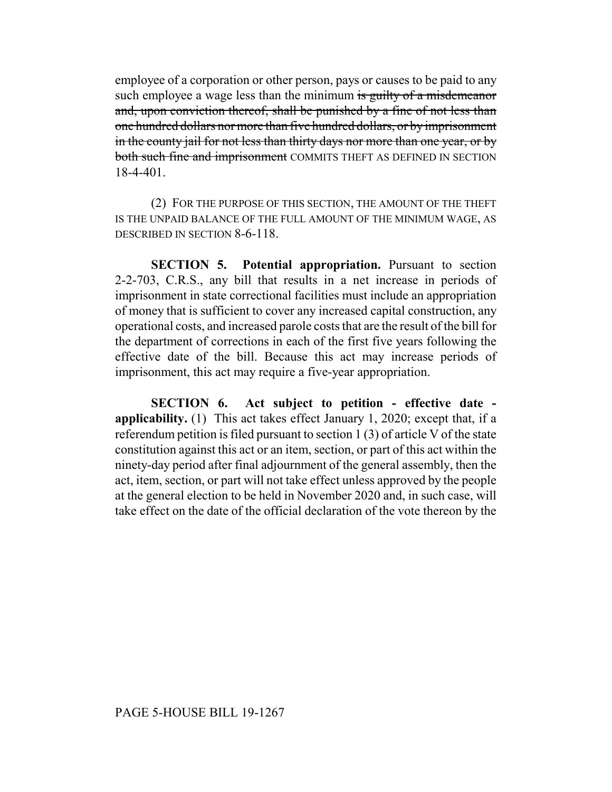employee of a corporation or other person, pays or causes to be paid to any such employee a wage less than the minimum is guilty of a misdemeanor and, upon conviction thereof, shall be punished by a fine of not less than one hundred dollars nor more than five hundred dollars, or by imprisonment in the county jail for not less than thirty days nor more than one year, or by both such fine and imprisonment COMMITS THEFT AS DEFINED IN SECTION 18-4-401.

(2) FOR THE PURPOSE OF THIS SECTION, THE AMOUNT OF THE THEFT IS THE UNPAID BALANCE OF THE FULL AMOUNT OF THE MINIMUM WAGE, AS DESCRIBED IN SECTION 8-6-118.

**SECTION 5. Potential appropriation.** Pursuant to section 2-2-703, C.R.S., any bill that results in a net increase in periods of imprisonment in state correctional facilities must include an appropriation of money that is sufficient to cover any increased capital construction, any operational costs, and increased parole costs that are the result of the bill for the department of corrections in each of the first five years following the effective date of the bill. Because this act may increase periods of imprisonment, this act may require a five-year appropriation.

**SECTION 6. Act subject to petition - effective date applicability.** (1) This act takes effect January 1, 2020; except that, if a referendum petition is filed pursuant to section 1 (3) of article V of the state constitution against this act or an item, section, or part of this act within the ninety-day period after final adjournment of the general assembly, then the act, item, section, or part will not take effect unless approved by the people at the general election to be held in November 2020 and, in such case, will take effect on the date of the official declaration of the vote thereon by the